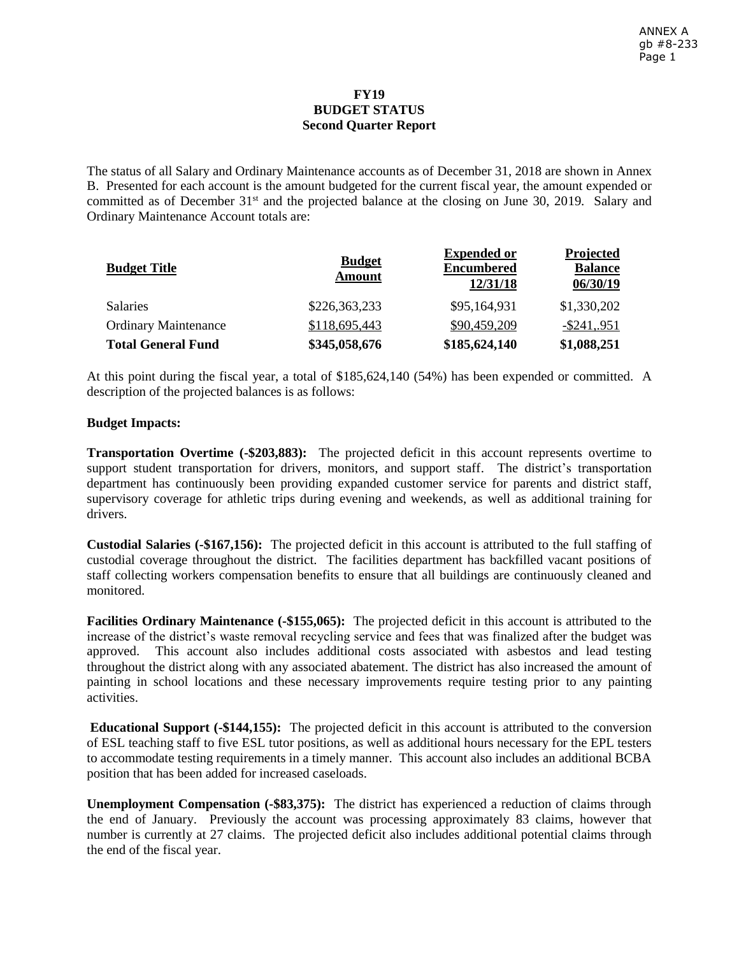## **FY19 BUDGET STATUS Second Quarter Report**

The status of all Salary and Ordinary Maintenance accounts as of December 31, 2018 are shown in Annex B. Presented for each account is the amount budgeted for the current fiscal year, the amount expended or committed as of December 31<sup>st</sup> and the projected balance at the closing on June 30, 2019. Salary and Ordinary Maintenance Account totals are:

| <b>Budget Title</b>         | <b>Budget</b><br>Amount | <b>Expended or</b><br><b>Encumbered</b><br>12/31/18 | Projected<br><b>Balance</b><br>06/30/19 |
|-----------------------------|-------------------------|-----------------------------------------------------|-----------------------------------------|
| <b>Salaries</b>             | \$226,363,233           | \$95,164,931                                        | \$1,330,202                             |
| <b>Ordinary Maintenance</b> | \$118,695,443           | \$90,459,209                                        | $-$ \$241,.951                          |
| <b>Total General Fund</b>   | \$345,058,676           | \$185,624,140                                       | \$1,088,251                             |

At this point during the fiscal year, a total of \$185,624,140 (54%) has been expended or committed. A description of the projected balances is as follows:

## **Budget Impacts:**

**Transportation Overtime (-\$203,883):** The projected deficit in this account represents overtime to support student transportation for drivers, monitors, and support staff. The district's transportation department has continuously been providing expanded customer service for parents and district staff, supervisory coverage for athletic trips during evening and weekends, as well as additional training for drivers.

**Custodial Salaries (-\$167,156):** The projected deficit in this account is attributed to the full staffing of custodial coverage throughout the district. The facilities department has backfilled vacant positions of staff collecting workers compensation benefits to ensure that all buildings are continuously cleaned and monitored.

**Facilities Ordinary Maintenance (-\$155,065):** The projected deficit in this account is attributed to the increase of the district's waste removal recycling service and fees that was finalized after the budget was approved. This account also includes additional costs associated with asbestos and lead testing throughout the district along with any associated abatement. The district has also increased the amount of painting in school locations and these necessary improvements require testing prior to any painting activities.

**Educational Support (-\$144,155):** The projected deficit in this account is attributed to the conversion of ESL teaching staff to five ESL tutor positions, as well as additional hours necessary for the EPL testers to accommodate testing requirements in a timely manner. This account also includes an additional BCBA position that has been added for increased caseloads.

**Unemployment Compensation (-\$83,375):** The district has experienced a reduction of claims through the end of January. Previously the account was processing approximately 83 claims, however that number is currently at 27 claims. The projected deficit also includes additional potential claims through the end of the fiscal year.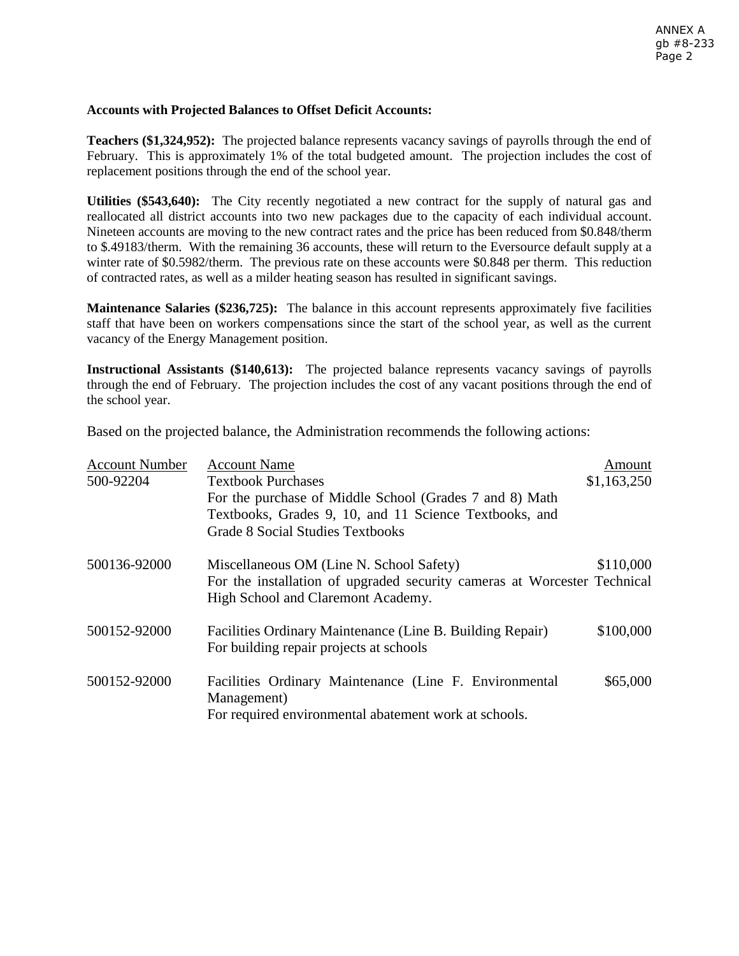## **Accounts with Projected Balances to Offset Deficit Accounts:**

**Teachers (\$1,324,952):** The projected balance represents vacancy savings of payrolls through the end of February. This is approximately 1% of the total budgeted amount. The projection includes the cost of replacement positions through the end of the school year.

**Utilities (\$543,640):** The City recently negotiated a new contract for the supply of natural gas and reallocated all district accounts into two new packages due to the capacity of each individual account. Nineteen accounts are moving to the new contract rates and the price has been reduced from \$0.848/therm to \$.49183/therm. With the remaining 36 accounts, these will return to the [Eversource default supply at a](https://www.eversource.com/content/ema-c/residential/my-account/billing-payments/about-your-bill/rates-tariffs/gas-fixed-price-option)  [winter rate of \\$0.5982/therm.](https://www.eversource.com/content/ema-c/residential/my-account/billing-payments/about-your-bill/rates-tariffs/gas-fixed-price-option) The previous rate on these accounts were \$0.848 per therm. This reduction of contracted rates, as well as a milder heating season has resulted in significant savings.

**Maintenance Salaries (\$236,725):** The balance in this account represents approximately five facilities staff that have been on workers compensations since the start of the school year, as well as the current vacancy of the Energy Management position.

**Instructional Assistants (\$140,613):** The projected balance represents vacancy savings of payrolls through the end of February. The projection includes the cost of any vacant positions through the end of the school year.

Based on the projected balance, the Administration recommends the following actions:

| <b>Account Number</b> | <b>Account Name</b>                                                                                            | Amount      |
|-----------------------|----------------------------------------------------------------------------------------------------------------|-------------|
| 500-92204             | <b>Textbook Purchases</b>                                                                                      | \$1,163,250 |
|                       | For the purchase of Middle School (Grades 7 and 8) Math                                                        |             |
|                       | Textbooks, Grades 9, 10, and 11 Science Textbooks, and                                                         |             |
|                       | <b>Grade 8 Social Studies Textbooks</b>                                                                        |             |
| 500136-92000          | Miscellaneous OM (Line N. School Safety)                                                                       | \$110,000   |
|                       | For the installation of upgraded security cameras at Worcester Technical<br>High School and Claremont Academy. |             |
| 500152-92000          | Facilities Ordinary Maintenance (Line B. Building Repair)<br>For building repair projects at schools           | \$100,000   |
| 500152-92000          | Facilities Ordinary Maintenance (Line F. Environmental<br>Management)                                          | \$65,000    |
|                       | For required environmental abatement work at schools.                                                          |             |